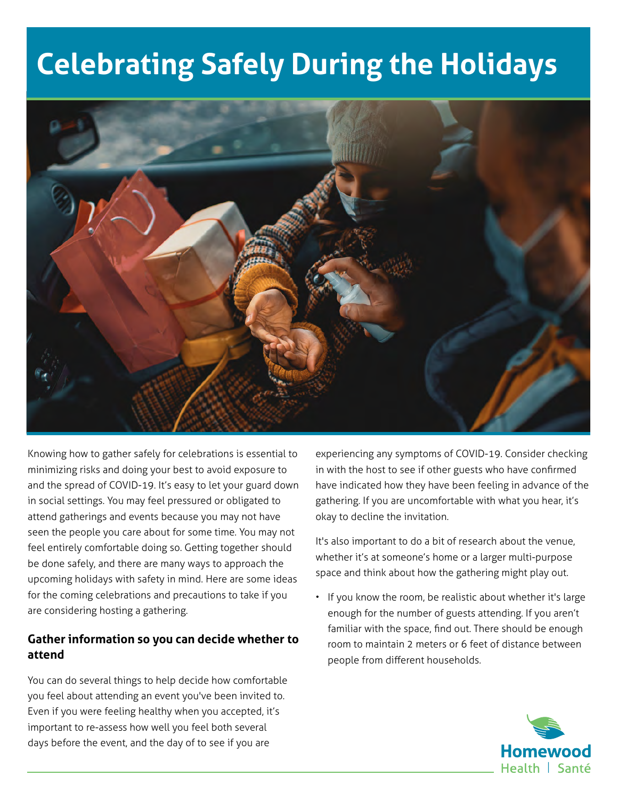# **Celebrating Safely During the Holidays**



Knowing how to gather safely for celebrations is essential to minimizing risks and doing your best to avoid exposure to and the spread of COVID-19. It's easy to let your guard down in social settings. You may feel pressured or obligated to attend gatherings and events because you may not have seen the people you care about for some time. You may not feel entirely comfortable doing so. Getting together should be done safely, and there are many ways to approach the upcoming holidays with safety in mind. Here are some ideas for the coming celebrations and precautions to take if you are considering hosting a gathering.

## **Gather information so you can decide whether to attend**

You can do several things to help decide how comfortable you feel about attending an event you've been invited to. Even if you were feeling healthy when you accepted, it's important to re-assess how well you feel both several days before the event, and the day of to see if you are

experiencing any symptoms of COVID-19. Consider checking in with the host to see if other guests who have confirmed have indicated how they have been feeling in advance of the gathering. If you are uncomfortable with what you hear, it's okay to decline the invitation.

It's also important to do a bit of research about the venue, whether it's at someone's home or a larger multi-purpose space and think about how the gathering might play out.

• If you know the room, be realistic about whether it's large enough for the number of guests attending. If you aren't familiar with the space, find out. There should be enough room to maintain 2 meters or 6 feet of distance between people from different households.

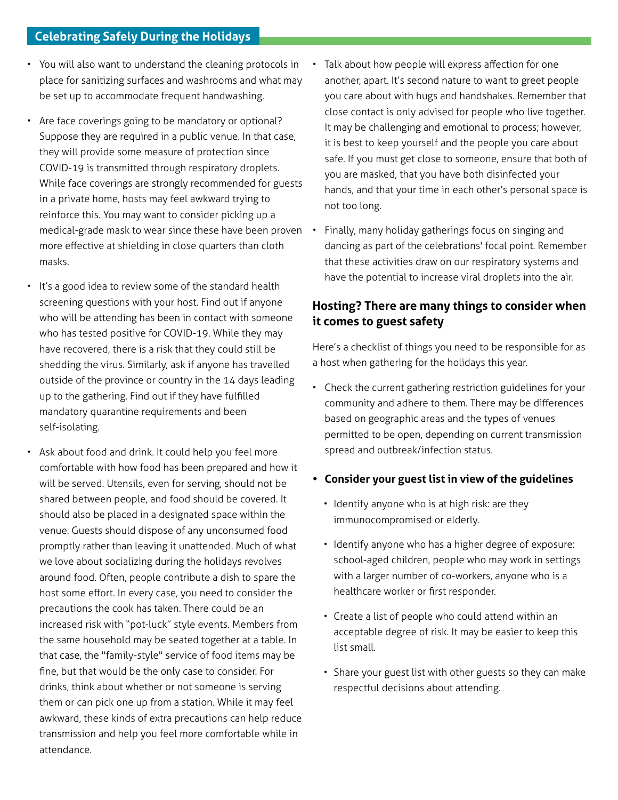- You will also want to understand the cleaning protocols in place for sanitizing surfaces and washrooms and what may be set up to accommodate frequent handwashing.
- Are face coverings going to be mandatory or optional? Suppose they are required in a public venue. In that case, they will provide some measure of protection since COVID-19 is transmitted through respiratory droplets. While face coverings are strongly recommended for guests in a private home, hosts may feel awkward trying to reinforce this. You may want to consider picking up a medical-grade mask to wear since these have been proven more effective at shielding in close quarters than cloth masks.
- It's a good idea to review some of the standard health screening questions with your host. Find out if anyone who will be attending has been in contact with someone who has tested positive for COVID-19. While they may have recovered, there is a risk that they could still be shedding the virus. Similarly, ask if anyone has travelled outside of the province or country in the 14 days leading up to the gathering. Find out if they have fulfilled mandatory quarantine requirements and been self-isolating.
- Ask about food and drink. It could help you feel more comfortable with how food has been prepared and how it will be served. Utensils, even for serving, should not be shared between people, and food should be covered. It should also be placed in a designated space within the venue. Guests should dispose of any unconsumed food promptly rather than leaving it unattended. Much of what we love about socializing during the holidays revolves around food. Often, people contribute a dish to spare the host some effort. In every case, you need to consider the precautions the cook has taken. There could be an increased risk with "pot-luck" style events. Members from the same household may be seated together at a table. In that case, the "family-style" service of food items may be fine, but that would be the only case to consider. For drinks, think about whether or not someone is serving them or can pick one up from a station. While it may feel awkward, these kinds of extra precautions can help reduce transmission and help you feel more comfortable while in attendance.
- Talk about how people will express affection for one another, apart. It's second nature to want to greet people you care about with hugs and handshakes. Remember that close contact is only advised for people who live together. It may be challenging and emotional to process; however, it is best to keep yourself and the people you care about safe. If you must get close to someone, ensure that both of you are masked, that you have both disinfected your hands, and that your time in each other's personal space is not too long.
- Finally, many holiday gatherings focus on singing and dancing as part of the celebrations' focal point. Remember that these activities draw on our respiratory systems and have the potential to increase viral droplets into the air.

## **Hosting? There are many things to consider when it comes to guest safety**

Here's a checklist of things you need to be responsible for as a host when gathering for the holidays this year.

• Check the current gathering restriction guidelines for your community and adhere to them. There may be differences based on geographic areas and the types of venues permitted to be open, depending on current transmission spread and outbreak/infection status.

#### **• Consider your guest list in view of the guidelines**

- Identify anyone who is at high risk: are they immunocompromised or elderly.
- Identify anyone who has a higher degree of exposure: school-aged children, people who may work in settings with a larger number of co-workers, anyone who is a healthcare worker or first responder.
- Create a list of people who could attend within an acceptable degree of risk. It may be easier to keep this list small.
- Share your guest list with other guests so they can make respectful decisions about attending.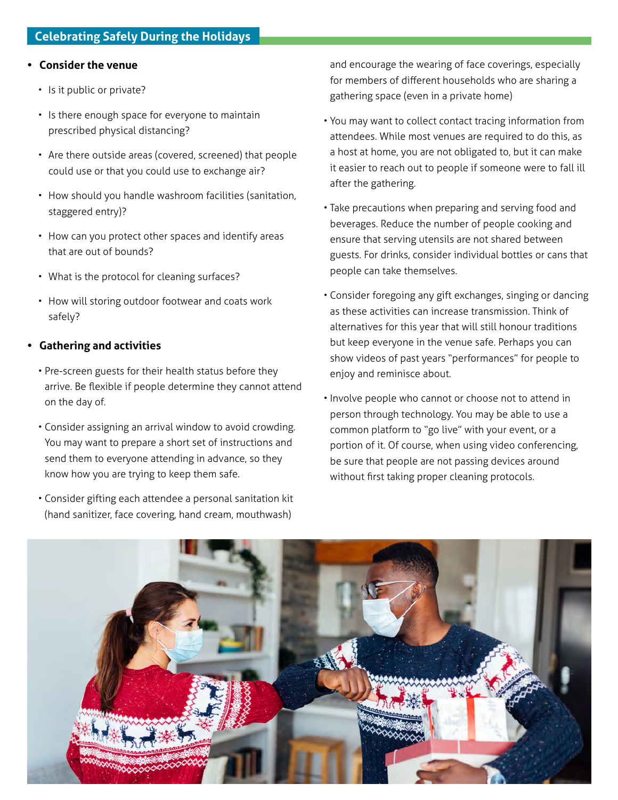#### **• Consider the venue**

- Is it public or private?
- Is there enough space for everyone to maintain prescribed physical distancing?
- Are there outside areas (covered, screened) that people could use or that you could use to exchange air?
- How should you handle washroom facilities (sanitation, staggered entry)?
- How can you protect other spaces and identify areas that are out of bounds?
- What is the protocol for cleaning surfaces?
- How will storing outdoor footwear and coats work safely?

### **• Gathering and activities**

- Pre-screen guests for their health status before they arrive. Be flexible if people determine they cannot attend on the day of.
- Consider assigning an arrival window to avoid crowding. You may want to prepare a short set of instructions and send them to everyone attending in advance, so they know how you are trying to keep them safe.
- Consider gifting each attendee a personal sanitation kit (hand sanitizer, face covering, hand cream, mouthwash)

and encourage the wearing of face coverings, especially for members of different households who are sharing a gathering space (even in a private home)

- You may want to collect contact tracing information from attendees. While most venues are required to do this, as a host at home, you are not obligated to, but it can make it easier to reach out to people if someone were to fall ill after the gathering.
- Take precautions when preparing and serving food and beverages. Reduce the number of people cooking and ensure that serving utensils are not shared between guests. For drinks, consider individual bottles or cans that people can take themselves.
- Consider foregoing any gift exchanges, singing or dancing as these activities can increase transmission. Think of alternatives for this year that will still honour traditions but keep everyone in the venue safe. Perhaps you can show videos of past years "performances" for people to enjoy and reminisce about.
- Involve people who cannot or choose not to attend in person through technology. You may be able to use a common platform to "go live" with your event, or a portion of it. Of course, when using video conferencing, be sure that people are not passing devices around without first taking proper cleaning protocols.